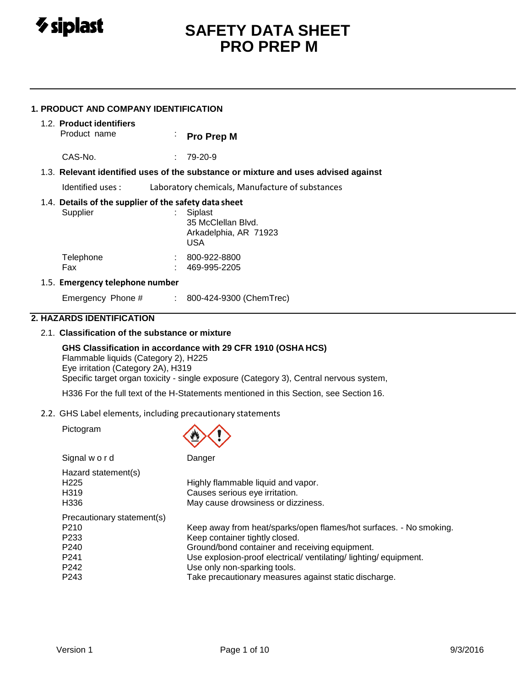

## **1. PRODUCT AND COMPANY IDENTIFICATION**

# 1.2. **Product identifiers**

**Pro Prep M** 

CAS-No. : 79-20-9

## 1.3. **Relevant identified uses of the substance or mixture and uses advised against**

Identified uses : Laboratory chemicals, Manufacture of substances

## 1.4. **Details of the supplier of the safety data sheet**

| Supplier         | Siplast<br>35 McClellan Blvd.<br>Arkadelphia, AR 71923<br>USA |  |  |
|------------------|---------------------------------------------------------------|--|--|
| Telephone<br>Fax | 800-922-8800<br>469-995-2205                                  |  |  |

## 1.5. **Emergency telephone number**

Emergency Phone # : 800-424-9300 (ChemTrec)

# **2. HAZARDS IDENTIFICATION**

## 2.1. **Classification of the substance or mixture**

## **GHS Classification in accordance with 29 CFR 1910 (OSHA HCS)**

Flammable liquids (Category 2), H225 Eye irritation (Category 2A), H319 Specific target organ toxicity - single exposure (Category 3), Central nervous system,

H336 For the full text of the H-Statements mentioned in this Section, see Section 16.

 $\wedge$   $\wedge$ 

2.2. GHS Label elements, including precautionary statements

Pictogram

|                                                                                                                | w                                                                                                                                                                                                                                                                                                                    |
|----------------------------------------------------------------------------------------------------------------|----------------------------------------------------------------------------------------------------------------------------------------------------------------------------------------------------------------------------------------------------------------------------------------------------------------------|
| Signal word                                                                                                    | Danger                                                                                                                                                                                                                                                                                                               |
| Hazard statement(s)<br>H <sub>225</sub><br>H319<br>H336                                                        | Highly flammable liquid and vapor.<br>Causes serious eye irritation.<br>May cause drowsiness or dizziness.                                                                                                                                                                                                           |
| Precautionary statement(s)<br>P <sub>210</sub><br>P <sub>233</sub><br>P <sub>240</sub><br>P241<br>P242<br>P243 | Keep away from heat/sparks/open flames/hot surfaces. - No smoking.<br>Keep container tightly closed.<br>Ground/bond container and receiving equipment.<br>Use explosion-proof electrical/ ventilating/ lighting/ equipment.<br>Use only non-sparking tools.<br>Take precautionary measures against static discharge. |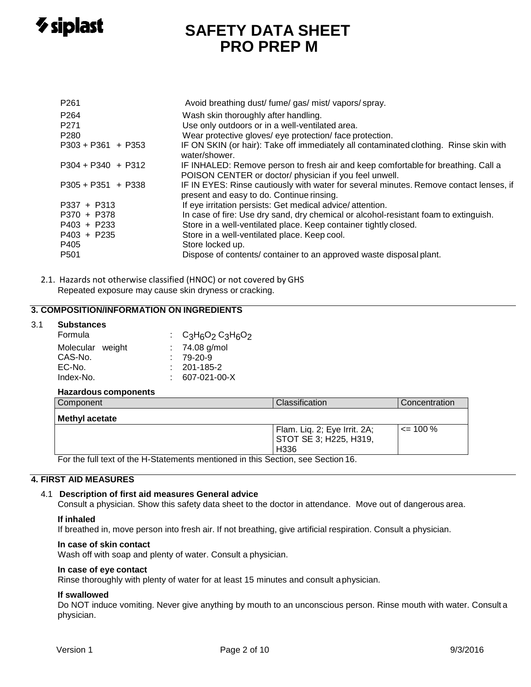

| P <sub>261</sub><br>P <sub>264</sub><br>P <sub>271</sub> | Avoid breathing dust/ fume/ gas/ mist/ vapors/ spray.<br>Wash skin thoroughly after handling.<br>Use only outdoors or in a well-ventilated area. |
|----------------------------------------------------------|--------------------------------------------------------------------------------------------------------------------------------------------------|
| P <sub>280</sub>                                         | Wear protective gloves/ eye protection/ face protection.                                                                                         |
| $P303 + P361 + P353$                                     | IF ON SKIN (or hair): Take off immediately all contaminated clothing. Rinse skin with<br>water/shower.                                           |
| $P304 + P340 + P312$                                     | IF INHALED: Remove person to fresh air and keep comfortable for breathing. Call a<br>POISON CENTER or doctor/ physician if you feel unwell.      |
| $P305 + P351 + P338$                                     | IF IN EYES: Rinse cautiously with water for several minutes. Remove contact lenses, if<br>present and easy to do. Continue rinsing.              |
| $P337 + P313$                                            | If eye irritation persists: Get medical advice/attention.                                                                                        |
| P370 + P378                                              | In case of fire: Use dry sand, dry chemical or alcohol-resistant foam to extinguish.                                                             |
| $P403 + P233$                                            | Store in a well-ventilated place. Keep container tightly closed.                                                                                 |
| P403 + P235<br>P405                                      | Store in a well-ventilated place. Keep cool.<br>Store locked up.                                                                                 |
| P <sub>501</sub>                                         | Dispose of contents/ container to an approved waste disposal plant.                                                                              |

2.1. Hazards not otherwise classified (HNOC) or not covered by GHS Repeated exposure may cause skin dryness or cracking.

## **3. COMPOSITION/INFORMATION ON INGREDIENTS**

## 3.1 **Substances**

| Formula          | : $C_3H_6O_2C_3H_6O_2$ |
|------------------|------------------------|
| Molecular weight | $: 74.08$ g/mol        |
| CAS-No.          | $: 79-20-9$            |
| EC-No.           | $: 201 - 185 - 2$      |
| Index-No.        | 607-021-00-X           |
|                  |                        |

## **Hazardous components**

| Component             | Classification                                                               | Concentration |
|-----------------------|------------------------------------------------------------------------------|---------------|
| <b>Methyl acetate</b> |                                                                              |               |
|                       | Flam. Liq. 2; Eye Irrit. 2A;<br>  STOT SE 3; H225, H319,<br>H <sub>336</sub> | $\leq$ 100 %  |

For the full text of the H-Statements mentioned in this Section, see Section 16.

## **4. FIRST AID MEASURES**

## 4.1 **Description of first aid measures General advice**

Consult a physician. Show this safety data sheet to the doctor in attendance. Move out of dangerous area.

#### **If inhaled**

If breathed in, move person into fresh air. If not breathing, give artificial respiration. Consult a physician.

## **In case of skin contact**

Wash off with soap and plenty of water. Consult a physician.

## **In case of eye contact**

Rinse thoroughly with plenty of water for at least 15 minutes and consult aphysician.

## **If swallowed**

Do NOT induce vomiting. Never give anything by mouth to an unconscious person. Rinse mouth with water. Consult a physician.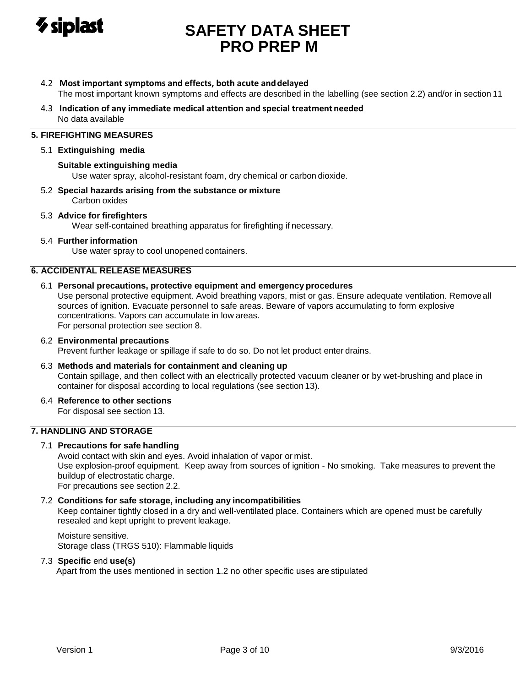

- 4.2 **Most important symptoms and effects, both acute anddelayed** The most important known symptoms and effects are described in the labelling (see section 2.2) and/or in section 11
- 4.3 **Indication of any immediate medical attention and special treatment needed** No data available

# **5. FIREFIGHTING MEASURES**

## 5.1 **Extinguishing media**

## **Suitable extinguishing media**

Use water spray, alcohol-resistant foam, dry chemical or carbon dioxide.

5.2 **Special hazards arising from the substance or mixture** Carbon oxides

## 5.3 **Advice for firefighters**

Wear self-contained breathing apparatus for firefighting if necessary.

## 5.4 **Further information**

Use water spray to cool unopened containers.

## **6. ACCIDENTAL RELEASE MEASURES**

## 6.1 **Personal precautions, protective equipment and emergency procedures**

Use personal protective equipment. Avoid breathing vapors, mist or gas. Ensure adequate ventilation. Removeall sources of ignition. Evacuate personnel to safe areas. Beware of vapors accumulating to form explosive concentrations. Vapors can accumulate in low areas. For personal protection see section 8.

## 6.2 **Environmental precautions**

Prevent further leakage or spillage if safe to do so. Do not let product enter drains.

## 6.3 **Methods and materials for containment and cleaning up**

Contain spillage, and then collect with an electrically protected vacuum cleaner or by wet-brushing and place in container for disposal according to local regulations (see section 13).

6.4 **Reference to other sections**

For disposal see section 13.

## **7. HANDLING AND STORAGE**

## 7.1 **Precautions for safe handling**

Avoid contact with skin and eyes. Avoid inhalation of vapor or mist.

Use explosion-proof equipment. Keep away from sources of ignition - No smoking. Take measures to prevent the buildup of electrostatic charge.

For precautions see section 2.2.

## 7.2 **Conditions for safe storage, including any incompatibilities**

Keep container tightly closed in a dry and well-ventilated place. Containers which are opened must be carefully resealed and kept upright to prevent leakage.

Moisture sensitive. Storage class (TRGS 510): Flammable liquids

## 7.3 **Specific** end **use(s)**

Apart from the uses mentioned in section 1.2 no other specific uses are stipulated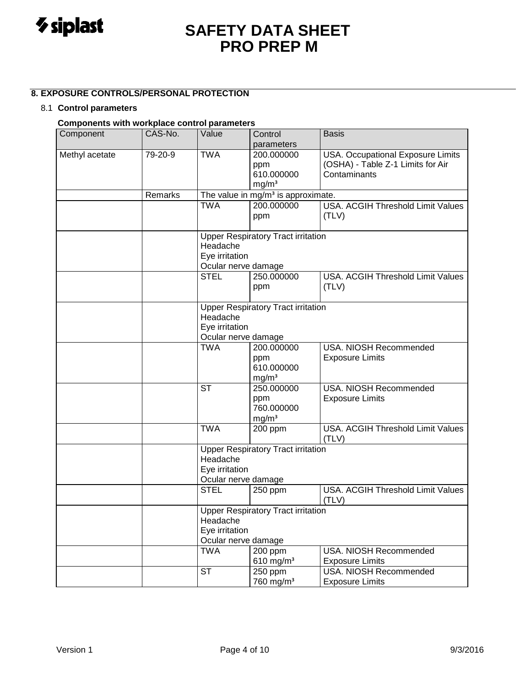

# **8. EXPOSURE CONTROLS/PERSONAL PROTECTION**

## 8.1 **Control parameters**

# **Components with workplace control parameters**

| Component      | CAS-No. | Value               | Control                                        | <b>Basis</b>                             |  |  |  |
|----------------|---------|---------------------|------------------------------------------------|------------------------------------------|--|--|--|
|                |         |                     | parameters                                     |                                          |  |  |  |
| Methyl acetate | 79-20-9 | <b>TWA</b>          | 200.000000                                     | USA. Occupational Exposure Limits        |  |  |  |
|                |         |                     | ppm                                            | (OSHA) - Table Z-1 Limits for Air        |  |  |  |
|                |         |                     | 610.000000                                     | Contaminants                             |  |  |  |
|                |         |                     | mg/m <sup>3</sup>                              |                                          |  |  |  |
|                | Remarks |                     | The value in mg/m <sup>3</sup> is approximate. |                                          |  |  |  |
|                |         | <b>TWA</b>          | 200.000000                                     | USA. ACGIH Threshold Limit Values        |  |  |  |
|                |         |                     | ppm                                            | (TLV)                                    |  |  |  |
|                |         | Headache            | <b>Upper Respiratory Tract irritation</b>      |                                          |  |  |  |
|                |         | Eye irritation      |                                                |                                          |  |  |  |
|                |         | Ocular nerve damage |                                                |                                          |  |  |  |
|                |         | <b>STEL</b>         | 250.000000                                     | <b>USA. ACGIH Threshold Limit Values</b> |  |  |  |
|                |         |                     | ppm                                            | (TLV)                                    |  |  |  |
|                |         |                     |                                                |                                          |  |  |  |
|                |         |                     | <b>Upper Respiratory Tract irritation</b>      |                                          |  |  |  |
|                |         | Headache            |                                                |                                          |  |  |  |
|                |         | Eye irritation      |                                                |                                          |  |  |  |
|                |         | Ocular nerve damage |                                                |                                          |  |  |  |
|                |         | <b>TWA</b>          | 200.000000                                     | <b>USA. NIOSH Recommended</b>            |  |  |  |
|                |         |                     | ppm<br>610.000000                              | <b>Exposure Limits</b>                   |  |  |  |
|                |         |                     | mg/m <sup>3</sup>                              |                                          |  |  |  |
|                |         | <b>ST</b>           | 250.000000                                     | <b>USA. NIOSH Recommended</b>            |  |  |  |
|                |         |                     | ppm                                            | <b>Exposure Limits</b>                   |  |  |  |
|                |         |                     | 760.000000                                     |                                          |  |  |  |
|                |         |                     | mg/m <sup>3</sup>                              |                                          |  |  |  |
|                |         | <b>TWA</b>          | 200 ppm                                        | USA. ACGIH Threshold Limit Values        |  |  |  |
|                |         |                     |                                                | (TLV)                                    |  |  |  |
|                |         |                     | <b>Upper Respiratory Tract irritation</b>      |                                          |  |  |  |
|                |         | Headache            |                                                |                                          |  |  |  |
|                |         |                     | Eye irritation                                 |                                          |  |  |  |
|                |         |                     | Ocular nerve damage                            |                                          |  |  |  |
|                |         | <b>STEL</b>         | 250 ppm                                        | USA. ACGIH Threshold Limit Values        |  |  |  |
|                |         |                     |                                                | (TLV)                                    |  |  |  |
|                |         |                     | <b>Upper Respiratory Tract irritation</b>      |                                          |  |  |  |
|                |         | Headache            |                                                |                                          |  |  |  |
|                |         | Eye irritation      |                                                |                                          |  |  |  |
|                |         | Ocular nerve damage |                                                |                                          |  |  |  |
|                |         | <b>TWA</b>          | 200 ppm                                        | USA. NIOSH Recommended                   |  |  |  |
|                |         |                     | 610 $mg/m3$                                    | <b>Exposure Limits</b>                   |  |  |  |
|                |         | <b>ST</b>           | 250 ppm                                        | <b>USA. NIOSH Recommended</b>            |  |  |  |
|                |         |                     | 760 mg/m <sup>3</sup>                          | <b>Exposure Limits</b>                   |  |  |  |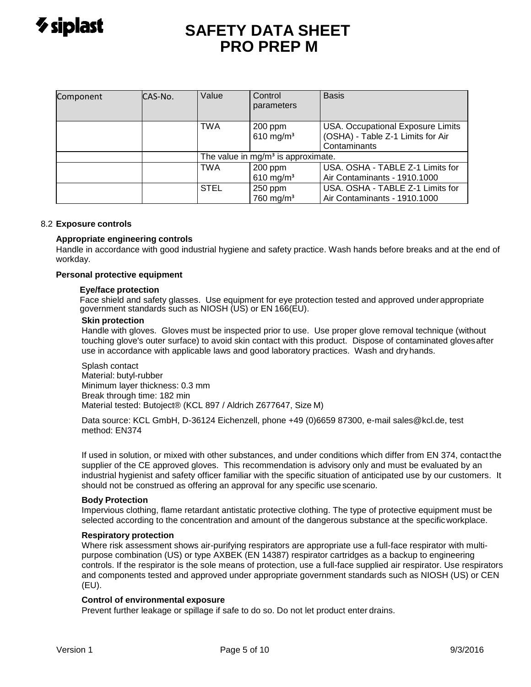| Component | CAS-No. | Value                                | Control<br>parameters              | <b>Basis</b>                                                                                  |
|-----------|---------|--------------------------------------|------------------------------------|-----------------------------------------------------------------------------------------------|
|           |         | <b>TWA</b>                           | 200 ppm<br>610 mg/m <sup>3</sup>   | <b>USA. Occupational Exposure Limits</b><br>(OSHA) - Table Z-1 Limits for Air<br>Contaminants |
|           |         | The value in $mg/m3$ is approximate. |                                    |                                                                                               |
|           |         | <b>TWA</b>                           | $200$ ppm<br>610 mg/m <sup>3</sup> | USA. OSHA - TABLE Z-1 Limits for<br>Air Contaminants - 1910.1000                              |
|           |         | <b>STEL</b>                          | 250 ppm<br>760 mg/m <sup>3</sup>   | USA. OSHA - TABLE Z-1 Limits for<br>Air Contaminants - 1910.1000                              |

## 8.2 **Exposure controls**

## **Appropriate engineering controls**

Handle in accordance with good industrial hygiene and safety practice. Wash hands before breaks and at the end of workday.

## **Personal protective equipment**

## **Eye/face protection**

Face shield and safety glasses. Use equipment for eye protection tested and approved under appropriate government standards such as NIOSH (US) or EN 166(EU).

## **Skin protection**

Handle with gloves. Gloves must be inspected prior to use. Use proper glove removal technique (without touching glove's outer surface) to avoid skin contact with this product. Dispose of contaminated glovesafter use in accordance with applicable laws and good laboratory practices. Wash and dryhands.

Splash contact Material: butyl-rubber Minimum layer thickness: 0.3 mm Break through time: 182 min Material tested: Butoject® (KCL 897 / Aldrich Z677647, Size M)

Data source: KCL GmbH, D-36124 Eichenzell, phone +49 (0)6659 87300, e-mail [sales@kcl.de,](mailto:sales@kcl.de) test method: EN374

If used in solution, or mixed with other substances, and under conditions which differ from EN 374, contact the supplier of the CE approved gloves. This recommendation is advisory only and must be evaluated by an industrial hygienist and safety officer familiar with the specific situation of anticipated use by our customers. It should not be construed as offering an approval for any specific use scenario.

## **Body Protection**

Impervious clothing, flame retardant antistatic protective clothing. The type of protective equipment must be selected according to the concentration and amount of the dangerous substance at the specificworkplace.

## **Respiratory protection**

Where risk assessment shows air-purifying respirators are appropriate use a full-face respirator with multipurpose combination (US) or type AXBEK (EN 14387) respirator cartridges as a backup to engineering controls. If the respirator is the sole means of protection, use a full-face supplied air respirator. Use respirators and components tested and approved under appropriate government standards such as NIOSH (US) or CEN (EU).

## **Control of environmental exposure**

Prevent further leakage or spillage if safe to do so. Do not let product enter drains.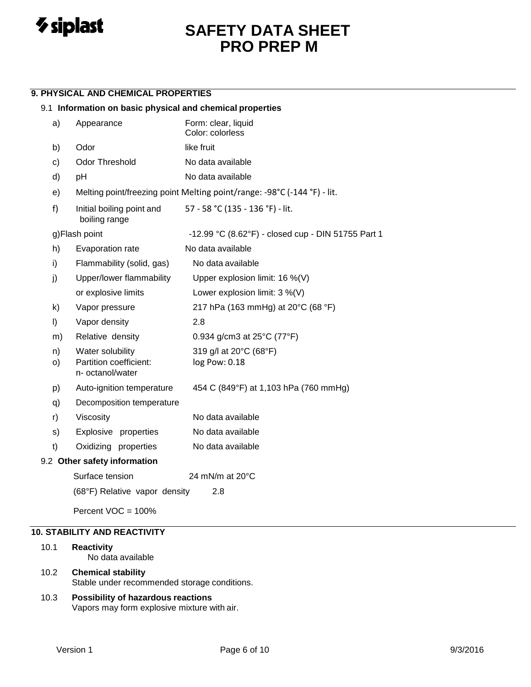

## **9. PHYSICAL AND CHEMICAL PROPERTIES**

## 9.1 **Information on basic physical and chemical properties**

| a) | Appearance                                 | Form: clear, liquid<br>Color: colorless                                  |
|----|--------------------------------------------|--------------------------------------------------------------------------|
| b) | Odor                                       | like fruit                                                               |
| c) | Odor Threshold                             | No data available                                                        |
| d) | pH                                         | No data available                                                        |
| e) |                                            | Melting point/freezing point Melting point/range: -98°C (-144 °F) - lit. |
| f) | Initial boiling point and<br>boiling range | 57 - 58 °C (135 - 136 °F) - lit.                                         |
|    | g)Flash point                              | -12.99 °C (8.62°F) - closed cup - DIN 51755 Part 1                       |
| h) | Evaporation rate                           | No data available                                                        |
| i) | Flammability (solid, gas)                  | No data available                                                        |
| j) | Upper/lower flammability                   | Upper explosion limit: $16\%$ (V)                                        |
|    | or explosive limits                        | Lower explosion limit: $3\%$ (V)                                         |
| k) | Vapor pressure                             | 217 hPa (163 mmHg) at 20°C (68 °F)                                       |
| I) | Vapor density                              | 2.8                                                                      |
| m) | Relative density                           | 0.934 g/cm3 at $25^{\circ}$ C (77 $^{\circ}$ F)                          |
| n) | Water solubility                           | 319 g/l at 20°C (68°F)                                                   |
| O) | Partition coefficient:<br>n- octanol/water | log Pow: 0.18                                                            |
| p) | Auto-ignition temperature                  | 454 C (849°F) at 1,103 hPa (760 mmHg)                                    |
| q) | Decomposition temperature                  |                                                                          |
| r) | Viscosity                                  | No data available                                                        |
| s) | Explosive properties                       | No data available                                                        |
| t) | Oxidizing properties                       | No data available                                                        |
|    | 9.2 Other safety information               |                                                                          |
|    | Surface tension                            | 24 mN/m at $20^{\circ}$ C                                                |
|    | (68°F) Relative vapor density              | 2.8                                                                      |
|    |                                            |                                                                          |

Percent VOC = 100%

# **10. STABILITY AND REACTIVITY**

| 10.1 | <b>Reactivity</b>       |
|------|-------------------------|
|      | No data available       |
|      | 10.2 Chemical stability |

- Stable under recommended storage conditions.
- 10.3 **Possibility of hazardous reactions** Vapors may form explosive mixture with air.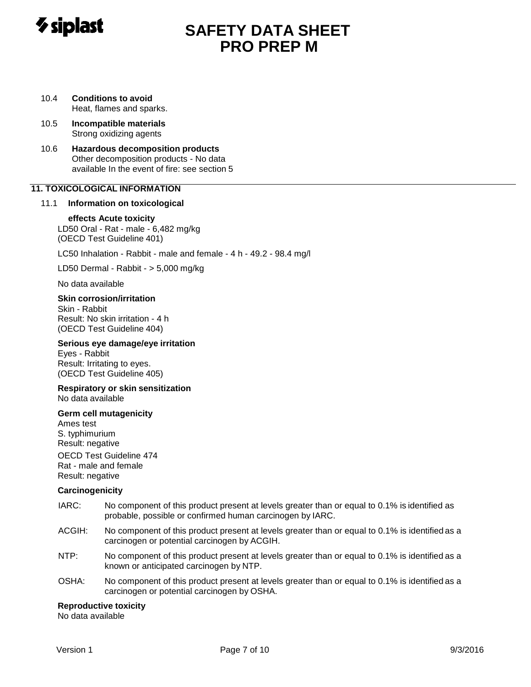

- 10.4 **Conditions to avoid** Heat, flames and sparks.
- 10.5 **Incompatible materials** Strong oxidizing agents
- 10.6 **Hazardous decomposition products** Other decomposition products - No data available In the event of fire: see section 5

# **11. TOXICOLOGICAL INFORMATION**

## 11.1 **Information on toxicological**

## **effects Acute toxicity**

LD50 Oral - Rat - male - 6,482 mg/kg (OECD Test Guideline 401)

LC50 Inhalation - Rabbit - male and female - 4 h - 49.2 - 98.4 mg/l

LD50 Dermal - Rabbit - > 5,000 mg/kg

No data available

## **Skin corrosion/irritation**

Skin - Rabbit Result: No skin irritation - 4 h (OECD Test Guideline 404)

## **Serious eye damage/eye irritation**

Eyes - Rabbit Result: Irritating to eyes. (OECD Test Guideline 405)

#### **Respiratory or skin sensitization** No data available

## **Germ cell mutagenicity**

Ames test S. typhimurium Result: negative OECD Test Guideline 474 Rat - male and female

Result: negative

## **Carcinogenicity**

- IARC: No component of this product present at levels greater than or equal to 0.1% is identified as probable, possible or confirmed human carcinogen by IARC.
- ACGIH: No component of this product present at levels greater than or equal to 0.1% is identified as a carcinogen or potential carcinogen by ACGIH.
- NTP: No component of this product present at levels greater than or equal to 0.1% is identified as a known or anticipated carcinogen by NTP.
- OSHA: No component of this product present at levels greater than or equal to 0.1% is identified as a carcinogen or potential carcinogen by OSHA.

## **Reproductive toxicity**

No data available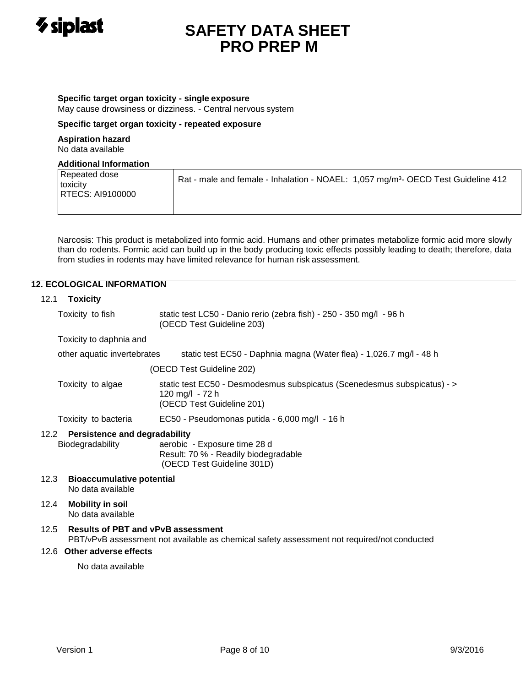

## **Specific target organ toxicity - single exposure**

May cause drowsiness or dizziness. - Central nervous system

## **Specific target organ toxicity - repeated exposure**

#### **Aspiration hazard** No data available

## **Additional Information**

Narcosis: This product is metabolized into formic acid. Humans and other primates metabolize formic acid more slowly than do rodents. Formic acid can build up in the body producing toxic effects possibly leading to death; therefore, data from studies in rodents may have limited relevance for human risk assessment.

# **12. ECOLOGICAL INFORMATION**

## 12.1 **Toxicity**

| Toxicity to fish | static test LC50 - Danio rerio (zebra fish) - 250 - 350 mg/l - 96 h |
|------------------|---------------------------------------------------------------------|
|                  | (OECD Test Guideline 203)                                           |

## Toxicity to daphnia and

| other aquatic invertebrates | static test EC50 - Daphnia magna (Water flea) - 1,026.7 mg/l - 48 h |  |  |  |  |
|-----------------------------|---------------------------------------------------------------------|--|--|--|--|
|-----------------------------|---------------------------------------------------------------------|--|--|--|--|

(OECD Test Guideline 202)

Toxicity to algae static test EC50 - Desmodesmus subspicatus (Scenedesmus subspicatus) - > 120 mg/l - 72 h (OECD Test Guideline 201)

Toxicity to bacteria EC50 - Pseudomonas putida - 6,000 mg/l - 16 h

## 12.2 **Persistence and degradability**

Biodegradability aerobic - Exposure time 28 d Result: 70 % - Readily biodegradable (OECD Test Guideline 301D)

12.3 **Bioaccumulative potential** No data available

# 12.4 **Mobility in soil**

No data available

# 12.5 **Results of PBT and vPvB assessment**

PBT/vPvB assessment not available as chemical safety assessment not required/not conducted

## 12.6 **Other adverse effects**

No data available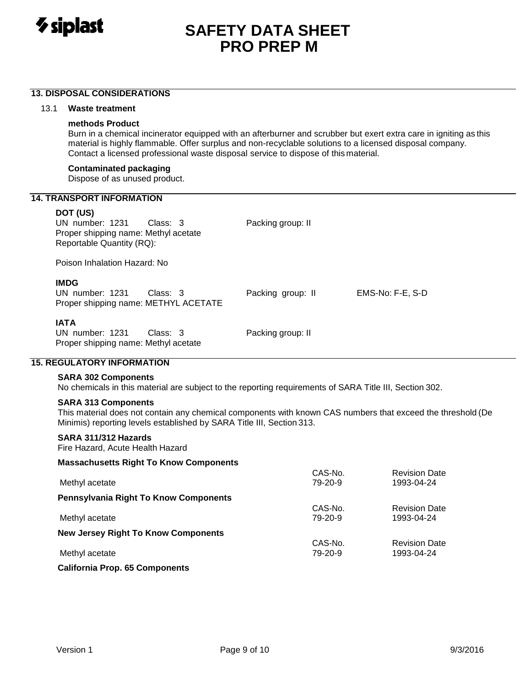

## **13. DISPOSAL CONSIDERATIONS**

## 13.1 **Waste treatment**

## **methods Product**

Burn in a chemical incinerator equipped with an afterburner and scrubber but exert extra care in igniting as this material is highly flammable. Offer surplus and non-recyclable solutions to a licensed disposal company. Contact a licensed professional waste disposal service to dispose of this material.

#### **Contaminated packaging**

Dispose of as unused product.

## **14. TRANSPORT INFORMATION**

## **DOT (US)**

UN number: 1231 Class: 3 Packing group: II Proper shipping name: Methyl acetate Reportable Quantity (RQ):

Poison Inhalation Hazard: No

# **IMDG**

| <b>IMDG</b><br>UN number: 1231<br>Class: 3<br>Proper shipping name: METHYL ACETATE | Packing group: II | EMS-No: F-E. S-D |
|------------------------------------------------------------------------------------|-------------------|------------------|
| <b>IATA</b>                                                                        |                   |                  |

UN number: 1231 Class: 3 Packing group: II Proper shipping name: Methyl acetate

# **15. REGULATORY INFORMATION**

## **SARA 302 Components**

No chemicals in this material are subject to the reporting requirements of SARA Title III, Section 302.

## **SARA 313 Components**

This material does not contain any chemical components with known CAS numbers that exceed the threshold (De Minimis) reporting levels established by SARA Title III, Section 313.

## **SARA 311/312 Hazards**

Fire Hazard, Acute Health Hazard

**Massachusetts Right To Know Components**

| $1.11$ and $0.001$ and $0.001$ and $0.001$ and $0.001$ and $0.001$ and $0.001$ and $0.001$ and $0.001$ and $0.001$ and $0.001$ and $0.001$ and $0.001$ and $0.001$ and $0.001$ and $0.001$ and $0.001$ and $0.001$ and $0.001$ |         |                      |
|--------------------------------------------------------------------------------------------------------------------------------------------------------------------------------------------------------------------------------|---------|----------------------|
|                                                                                                                                                                                                                                | CAS-No. | <b>Revision Date</b> |
| Methyl acetate                                                                                                                                                                                                                 | 79-20-9 | 1993-04-24           |
| <b>Pennsylvania Right To Know Components</b>                                                                                                                                                                                   |         |                      |
|                                                                                                                                                                                                                                | CAS-No. | <b>Revision Date</b> |
| Methyl acetate                                                                                                                                                                                                                 | 79-20-9 | 1993-04-24           |
| <b>New Jersey Right To Know Components</b>                                                                                                                                                                                     |         |                      |
|                                                                                                                                                                                                                                | CAS-No. | <b>Revision Date</b> |
| Methyl acetate                                                                                                                                                                                                                 | 79-20-9 | 1993-04-24           |
| <b>California Prop. 65 Components</b>                                                                                                                                                                                          |         |                      |